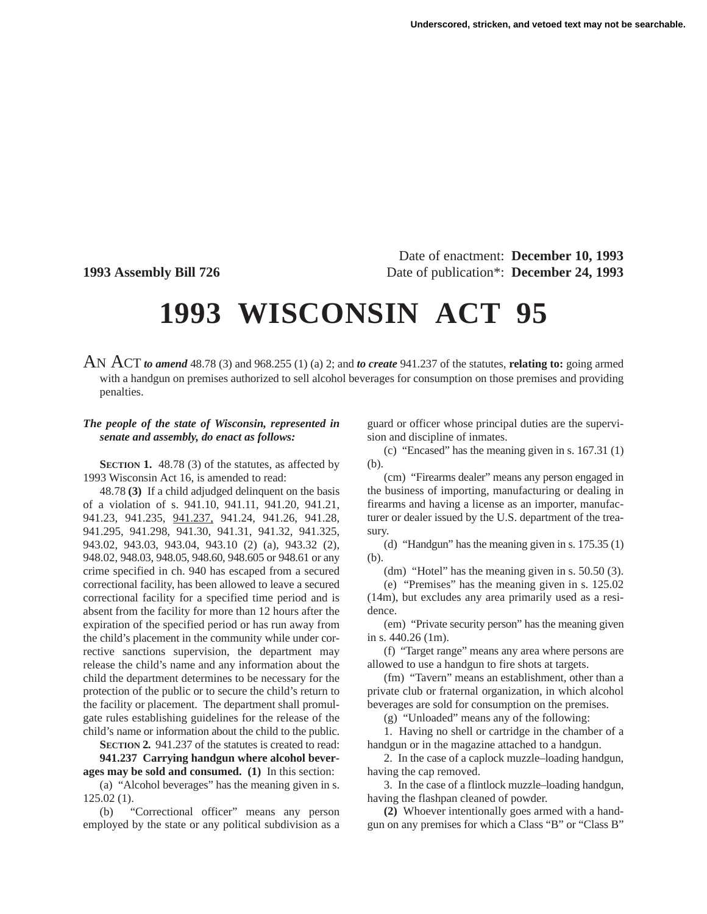Date of enactment: **December 10, 1993 1993 Assembly Bill 726** Date of publication\*: **December 24, 1993**

## **1993 WISCONSIN ACT 95**

AN ACT *to amend* 48.78 (3) and 968.255 (1) (a) 2; and *to create* 941.237 of the statutes, **relating to:** going armed with a handgun on premises authorized to sell alcohol beverages for consumption on those premises and providing penalties.

## *The people of the state of Wisconsin, represented in senate and assembly, do enact as follows:*

**SECTION 1.** 48.78 (3) of the statutes, as affected by 1993 Wisconsin Act 16, is amended to read:

48.78 **(3)** If a child adjudged delinquent on the basis of a violation of s. 941.10, 941.11, 941.20, 941.21, 941.23, 941.235, 941.237, 941.24, 941.26, 941.28, 941.295, 941.298, 941.30, 941.31, 941.32, 941.325, 943.02, 943.03, 943.04, 943.10 (2) (a), 943.32 (2), 948.02, 948.03, 948.05, 948.60, 948.605 or 948.61 or any crime specified in ch. 940 has escaped from a secured correctional facility, has been allowed to leave a secured correctional facility for a specified time period and is absent from the facility for more than 12 hours after the expiration of the specified period or has run away from the child's placement in the community while under corrective sanctions supervision, the department may release the child's name and any information about the child the department determines to be necessary for the protection of the public or to secure the child's return to the facility or placement. The department shall promulgate rules establishing guidelines for the release of the child's name or information about the child to the public.

**SECTION 2.** 941.237 of the statutes is created to read: **941.237 Carrying handgun where alcohol beverages may be sold and consumed. (1)** In this section:

(a) "Alcohol beverages" has the meaning given in s. 125.02 (1).

(b) "Correctional officer" means any person employed by the state or any political subdivision as a guard or officer whose principal duties are the supervision and discipline of inmates.

(c) "Encased" has the meaning given in s. 167.31 (1) (b).

(cm) "Firearms dealer" means any person engaged in the business of importing, manufacturing or dealing in firearms and having a license as an importer, manufacturer or dealer issued by the U.S. department of the treasury.

(d) "Handgun" has the meaning given in s. 175.35 (1) (b).

(dm) "Hotel" has the meaning given in s. 50.50 (3).

(e) "Premises" has the meaning given in s. 125.02 (14m), but excludes any area primarily used as a residence.

(em) "Private security person" has the meaning given in s. 440.26 (1m).

(f) "Target range" means any area where persons are allowed to use a handgun to fire shots at targets.

(fm) "Tavern" means an establishment, other than a private club or fraternal organization, in which alcohol beverages are sold for consumption on the premises.

(g) "Unloaded" means any of the following:

1. Having no shell or cartridge in the chamber of a handgun or in the magazine attached to a handgun.

2. In the case of a caplock muzzle–loading handgun, having the cap removed.

3. In the case of a flintlock muzzle–loading handgun, having the flashpan cleaned of powder.

**(2)** Whoever intentionally goes armed with a handgun on any premises for which a Class "B" or "Class B"